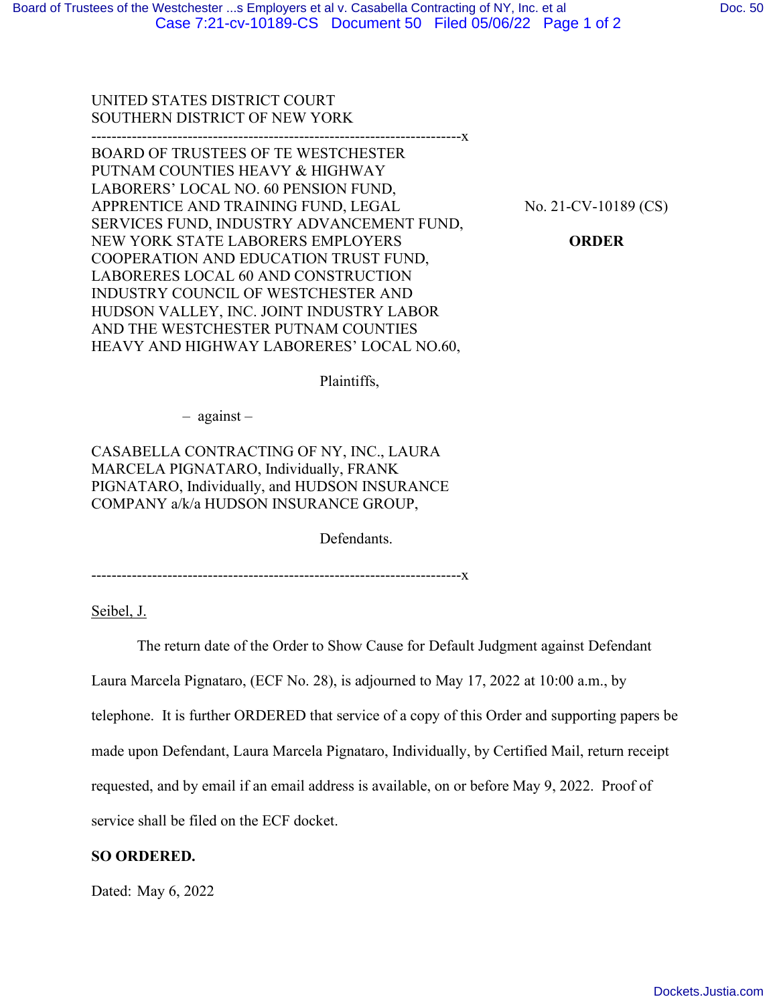UNITED STATES DISTRICT COURT SOUTHERN DISTRICT OF NEW YORK

-------------------------------------------------------------------------x BOARD OF TRUSTEES OF TE WESTCHESTER PUTNAM COUNTIES HEAVY & HIGHWAY LABORERS' LOCAL NO. 60 PENSION FUND, APPRENTICE AND TRAINING FUND, LEGAL SERVICES FUND, INDUSTRY ADVANCEMENT FUND, NEW YORK STATE LABORERS EMPLOYERS COOPERATION AND EDUCATION TRUST FUND, LABORERES LOCAL 60 AND CONSTRUCTION INDUSTRY COUNCIL OF WESTCHESTER AND HUDSON VALLEY, INC. JOINT INDUSTRY LABOR AND THE WESTCHESTER PUTNAM COUNTIES HEAVY AND HIGHWAY LABORERES' LOCAL NO.60,

No. 21-CV-10189 (CS)

**ORDER** 

Plaintiffs,

– against –

CASABELLA CONTRACTING OF NY, INC., LAURA MARCELA PIGNATARO, Individually, FRANK PIGNATARO, Individually, and HUDSON INSURANCE COMPANY a/k/a HUDSON INSURANCE GROUP,

Defendants.

-------------------------------------------------------------------------x

Seibel, J.

The return date of the Order to Show Cause for Default Judgment against Defendant

Laura Marcela Pignataro, (ECF No. 28), is adjourned to May 17, 2022 at 10:00 a.m., by

telephone. It is further ORDERED that service of a copy of this Order and supporting papers be

made upon Defendant, Laura Marcela Pignataro, Individually, by Certified Mail, return receipt

requested, and by email if an email address is available, on or before May 9, 2022. Proof of

service shall be filed on the ECF docket.

## **SO ORDERED.**

Dated: May 6, 2022